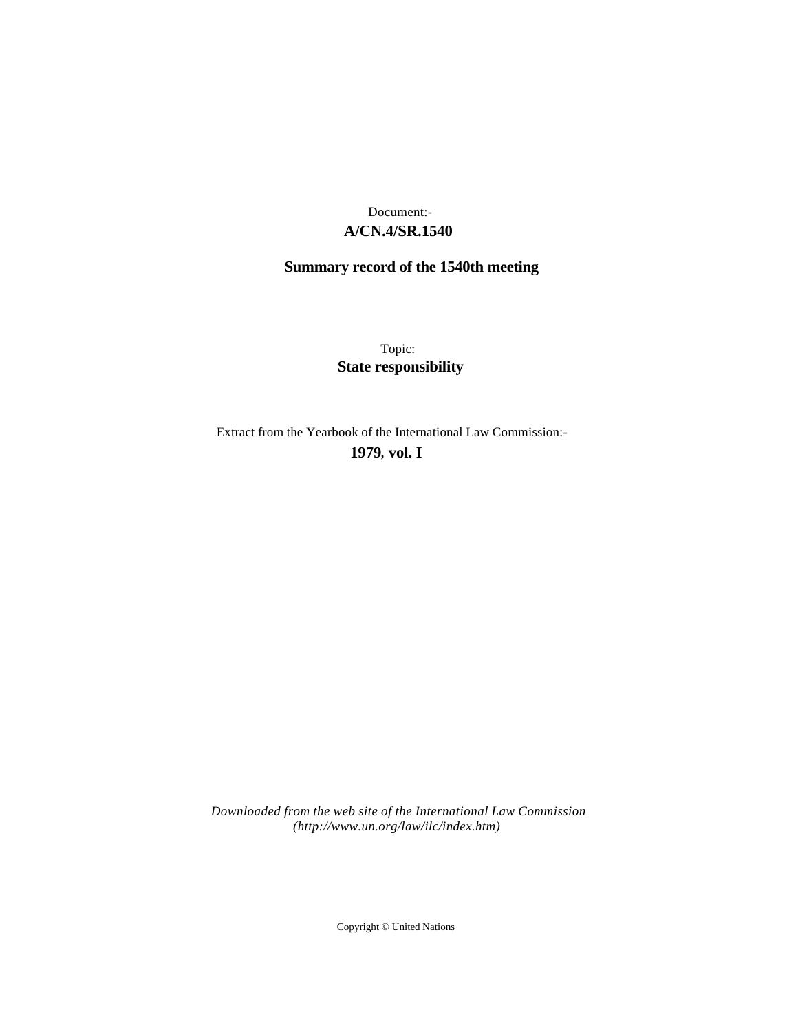# **A/CN.4/SR.1540** Document:-

# **Summary record of the 1540th meeting**

Topic: **State responsibility**

Extract from the Yearbook of the International Law Commission:-

**1979** , **vol. I**

*Downloaded from the web site of the International Law Commission (http://www.un.org/law/ilc/index.htm)*

Copyright © United Nations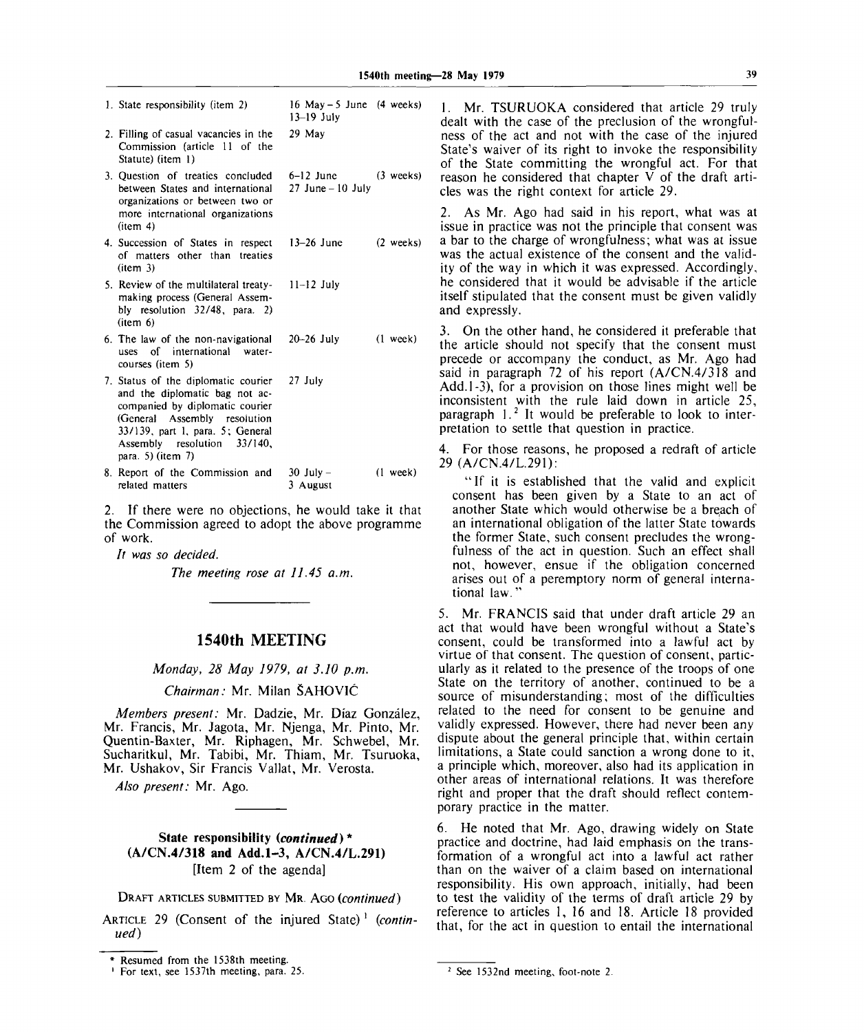| 1. State responsibility (item 2)                                                                                                                                                                                                 | 16 May $-5$ June (4 weeks)<br>$13-19$ July |                     |
|----------------------------------------------------------------------------------------------------------------------------------------------------------------------------------------------------------------------------------|--------------------------------------------|---------------------|
| 2. Filling of casual vacancies in the<br>Commission (article 11 of the<br>Statute) (item 1)                                                                                                                                      | 29 May                                     |                     |
| 3. Question of treaties concluded<br>between States and international<br>organizations or between two or<br>more international organizations<br>$(i$ tem 4)                                                                      | $6-12$ June<br>$27$ June $-10$ July        | $(3$ weeks)         |
| 4. Succession of States in respect<br>of matters other than treaties<br>item 3)                                                                                                                                                  | $13-26$ June                               | $(2 \text{ weeks})$ |
| 5. Review of the multilateral treaty-<br>making process (General Assem-<br>bly resolution 32/48, para. 2)<br>(item 6)                                                                                                            | $11 - 12$ July                             |                     |
| 6. The law of the non-navigational<br>uses of international water-<br>courses (item 5)                                                                                                                                           | $20 - 26$ July                             | $(1 \text{ week})$  |
| 7. Status of the diplomatic courier<br>and the diplomatic bag not ac-<br>companied by diplomatic courier<br>(General Assembly resolution<br>33/139, part 1, para. 5; General<br>Assembly resolution 33/140,<br>para. 5) (item 7) | 27 July                                    |                     |
| 8. Report of the Commission and<br>related matters                                                                                                                                                                               | $30$ July $-$<br>3 August                  | $(1$ week)          |

2. If there were no objections, he would take it that the Commission agreed to adopt the above programme of work.

*It was so decided.*

*The meeting rose at 11.45 a.m.*

## **1540th MEETING**

*Monday, 28 May 1979, at 3.10 p.m.*

#### *Chairman:* Mr. Milan SAHOVIC

*Members present:* Mr. Dadzie, Mr. Diaz Gonzalez, Mr. Francis, Mr. Jagota, Mr. Njenga, Mr. Pinto, Mr. Quentin-Baxter, Mr. Riphagen, Mr. Schwebel, Mr. Sucharitkul, Mr. Tabibi, Mr. Thiam, Mr. Tsuruoka, Mr. Ushakov, Sir Francis Vallat, Mr. Verosta.

*Also present:* Mr. Ago.

State responsibility *(continued)\** **(A/CN.4/318 and Add.1-3, A/CN.4/L.291)** [Item 2 of the agenda]

DRAFT ARTICLES SUBMITTED BY MR. AGO *(continued)*

ARTICLE 29 (Consent of the injured State)' *(continued)*

1. Mr. TSURUOKA considered that article 29 truly dealt with the case of the preclusion of the wrongfulness of the act and not with the case of the injured State's waiver of its right to invoke the responsibility of the State committing the wrongful act. For that reason he considered that chapter V of the draft articles was the right context for article 29.

2. As Mr. Ago had said in his report, what was at issue in practice was not the principle that consent was a bar to the charge of wrongfulness; what was at issue was the actual existence of the consent and the validity of the way in which it was expressed. Accordingly, he considered that it would be advisable if the article itself stipulated that the consent must be given validly and expressly.

3. On the other hand, he considered it preferable that the article should not specify that the consent must precede or accompany the conduct, as Mr. Ago had said in paragraph 72 of his report (A/CN.4/318 and Add.1-3), for a provision on those lines might well be inconsistent with the rule laid down in article 25,  $n = 12$  it would be preferable to look to interpretation to settle that question in practice.

4. For those reasons, he proposed a redraft of article 29 (A/CN.4/L.291):

"If it is established that the valid and explicit consent has been given by a State to an act of another State which would otherwise be a breach of an international obligation of the latter State towards the former State, such consent precludes the wrongfulness of the act in question. Such an effect shall not, however, ensue if the obligation concerned arises out of a peremptory norm of general international law."

5. Mr. FRANCIS said that under draft article 29 an act that would have been wrongful without a State's consent, could be transformed into a lawful act by virtue of that consent. The question of consent, particularly as it related to the presence of the troops of one State on the territory of another, continued to be a source of misunderstanding; most of the difficulties related to the need for consent to be genuine and validly expressed. However, there had never been any dispute about the general principle that, within certain limitations, a State could sanction a wrong done to it, a principle which, moreover, also had its application in other areas of international relations. It was therefore right and proper that the draft should reflect contemporary practice in the matter.

6. He noted that Mr. Ago, drawing widely on State practice and doctrine, had laid emphasis on the transformation of a wrongful act into a lawful act rather than on the waiver of a claim based on international responsibility. His own approach, initially, had been to test the validity of the terms of draft article 29 by reference to articles 1, 16 and 18. Article 18 provided that, for the act in question to entail the international

<sup>\*</sup> Resumed from the 1538th meeting.

<sup>&</sup>lt;sup>1</sup> For text, see 1537th meeting, para. 25. See 1532nd meeting, foot-note 2.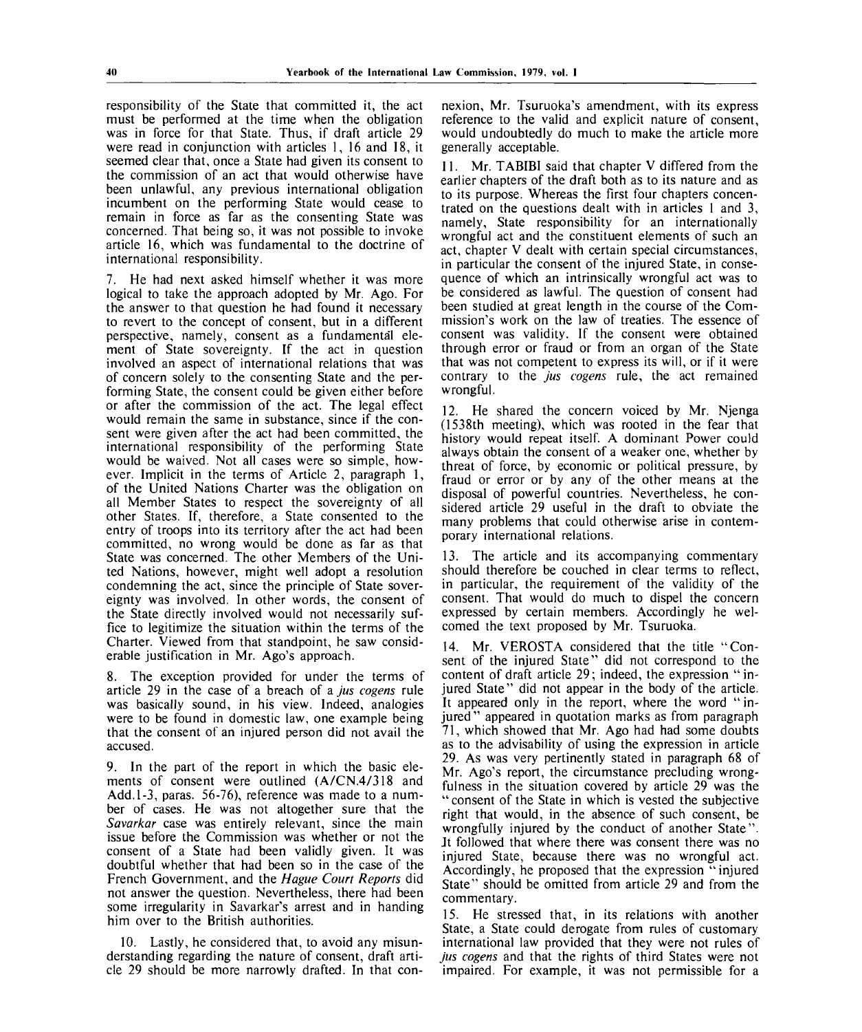responsibility of the State that committed it, the act must be performed at the time when the obligation was in force for that State. Thus, if draft article 29 were read in conjunction with articles 1, 16 and 18, it seemed clear that, once a State had given its consent to the commission of an act that would otherwise have been unlawful, any previous international obligation incumbent on the performing State would cease to remain in force as far as the consenting State was concerned. That being so, it was not possible to invoke article 16, which was fundamental to the doctrine of international responsibility.

7. He had next asked himself whether it was more logical to take the approach adopted by Mr. Ago. For the answer to that question he had found it necessary to revert to the concept of consent, but in a different perspective, namely, consent as a fundamental element of State sovereignty. If the act in question involved an aspect of international relations that was of concern solely to the consenting State and the performing State, the consent could be given either before or after the commission of the act. The legal effect would remain the same in substance, since if the consent were given after the act had been committed, the international responsibility of the performing State would be waived. Not all cases were so simple, however. Implicit in the terms of Article 2, paragraph 1, of the United Nations Charter was the obligation on all Member States to respect the sovereignty of all other States. If, therefore, a State consented to the entry of troops into its territory after the act had been committed, no wrong would be done as far as that State was concerned. The other Members of the United Nations, however, might well adopt a resolution condemning the act, since the principle of State sovereignty was involved. In other words, the consent of the State directly involved would not necessarily suffice to legitimize the situation within the terms of the Charter. Viewed from that standpoint, he saw considerable justification in Mr. Ago's approach.

8. The exception provided for under the terms of article 29 in the case of a breach of a *jus cogens* rule was basically sound, in his view. Indeed, analogies were to be found in domestic law, one example being that the consent of an injured person did not avail the accused.

9. In the part of the report in which the basic elements of consent were outlined (A/CN.4/318 and Add. 1-3, paras. 56-76), reference was made to a number of cases. He was not altogether sure that the *Savarkar* case was entirely relevant, since the main issue before the Commission was whether or not the consent of a State had been validly given. It was doubtful whether that had been so in the case of the French Government, and the *Hague Court Reports* did not answer the question. Nevertheless, there had been some irregularity in Savarkar's arrest and in handing him over to the British authorities.

10. Lastly, he considered that, to avoid any misunderstanding regarding the nature of consent, draft article 29 should be more narrowly drafted. In that connexion, Mr. Tsuruoka's amendment, with its express reference to the valid and explicit nature of consent, would undoubtedly do much to make the article more generally acceptable.

11. Mr. TABIBI said that chapter V differed from the earlier chapters of the draft both as to its nature and as to its purpose. Whereas the first four chapters concentrated on the questions dealt with in articles 1 and 3, namely, State responsibility for an internationally wrongful act and the constituent elements of such an act, chapter V dealt with certain special circumstances, in particular the consent of the injured State, in consequence of which an intrinsically wrongful act was to be considered as lawful. The question of consent had been studied at great length in the course of the Commission's work on the law of treaties. The essence of consent was validity. If the consent were obtained through error or fraud or from an organ of the State that was not competent to express its will, or if it were contrary to the *jus cogens* rule, the act remained wrongful.

12. He shared the concern voiced by Mr. Njenga (1538th meeting), which was rooted in the fear that history would repeat itself. A dominant Power could always obtain the consent of a weaker one, whether by threat of force, by economic or political pressure, by fraud or error or by any of the other means at the disposal of powerful countries. Nevertheless, he considered article 29 useful in the draft to obviate the many problems that could otherwise arise in contemporary international relations.

13. The article and its accompanying commentary should therefore be couched in clear terms to reflect, in particular, the requirement of the validity of the consent. That would do much to dispel the concern expressed by certain members. Accordingly he welcomed the text proposed by Mr. Tsuruoka.

14. Mr. VEROSTA considered that the title "Consent of the injured State" did not correspond to the content of draft article 29; indeed, the expression "injured State" did not appear in the body of the article. It appeared only in the report, where the word " injured" appeared in quotation marks as from paragraph 71, which showed that Mr. Ago had had some doubts as to the advisability of using the expression in article 29. As was very pertinently stated in paragraph 68 of Mr. Ago's report, the circumstance precluding wrongfulness in the situation covered by article 29 was the "consent of the State in which is vested the subjective right that would, in the absence of such consent, be wrongfully injured by the conduct of another State". Jt followed that where there was consent there was no injured State, because there was no wrongful act. Accordingly, he proposed that the expression " injured State" should be omitted from article 29 and from the commentary.

15. He stressed that, in its relations with another State, a State could derogate from rules of customary international law provided that they were not rules of *jus cogens* and that the rights of third States were not impaired. For example, it was not permissible for a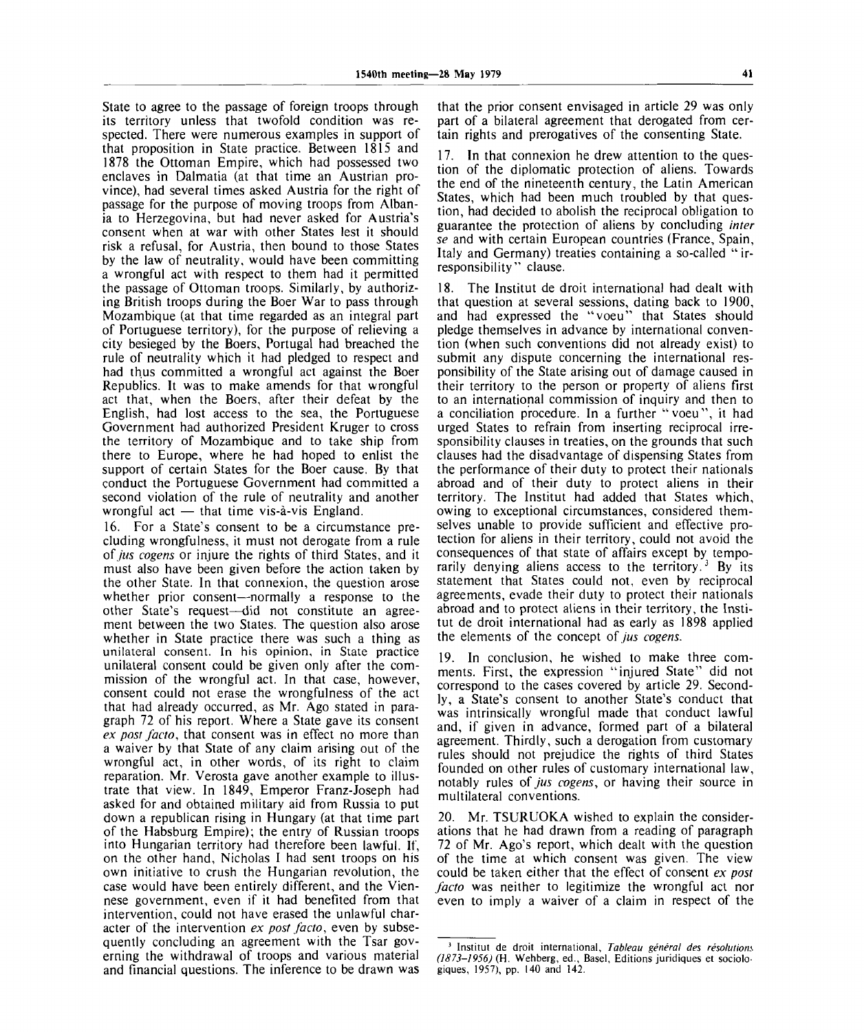State to agree to the passage of foreign troops through its territory unless that twofold condition was respected. There were numerous examples in support of that proposition in State practice. Between 1815 and 1878 the Ottoman Empire, which had possessed two enclaves in Dalmatia (at that time an Austrian province), had several times asked Austria for the right of passage for the purpose of moving troops from Albania to Herzegovina, but had never asked for Austria's consent when at war with other States lest it should risk a refusal, for Austria, then bound to those States by the law of neutrality, would have been committing a wrongful act with respect to them had it permitted the passage of Ottoman troops. Similarly, by authorizing British troops during the Boer War to pass through Mozambique (at that time regarded as an integral part of Portuguese territory), for the purpose of relieving a city besieged by the Boers, Portugal had breached the rule of neutrality which it had pledged to respect and had thus committed a wrongful act against the Boer Republics. It was to make amends for that wrongful act that, when the Boers, after their defeat by the English, had lost access to the sea, the Portuguese Government had authorized President Kruger to cross the territory of Mozambique and to take ship from there to Europe, where he had hoped to enlist the support of certain States for the Boer cause. By that conduct the Portuguese Government had committed a second violation of the rule of neutrality and another wrongful act  $-$  that time vis-à-vis England.

16. For a State's consent to be a circumstance precluding wrongfulness, it must not derogate from a rule *of jus cogens* or injure the rights of third States, and it must also have been given before the action taken by the other State. In that connexion, the question arose whether prior consent—normally a response to the other State's request—did not constitute an agreement between the two States. The question also arose whether in State practice there was such a thing as unilateral consent. In his opinion, in State practice unilateral consent could be given only after the commission of the wrongful act. In that case, however, consent could not erase the wrongfulness of the act that had already occurred, as Mr. Ago stated in paragraph 72 of his report. Where a State gave its consent *ex post facto,* that consent was in effect no more than a waiver by that State of any claim arising out of the wrongful act, in other words, of its right to claim reparation. Mr. Verosta gave another example to illustrate that view. In 1849, Emperor Franz-Joseph had asked for and obtained military aid from Russia to put down a republican rising in Hungary (at that time part of the Habsburg Empire); the entry of Russian troops into Hungarian territory had therefore been lawful. If, on the other hand, Nicholas I had sent troops on his own initiative to crush the Hungarian revolution, the case would have been entirely different, and the Viennese government, even if it had benefited from that intervention, could not have erased the unlawful character of the intervention *ex post facto,* even by subsequently concluding an agreement with the Tsar governing the withdrawal of troops and various material and financial questions. The inference to be drawn was

that the prior consent envisaged in article 29 was only part of a bilateral agreement that derogated from certain rights and prerogatives of the consenting State.

17. In that connexion he drew attention to the question of the diplomatic protection of aliens. Towards the end of the nineteenth century, the Latin American States, which had been much troubled by that question, had decided to abolish the reciprocal obligation to guarantee the protection of aliens by concluding *inter se* and with certain European countries (France, Spain, Italy and Germany) treaties containing a so-called " irresponsibility" clause.

18. The Institut de droit international had dealt with that question at several sessions, dating back to 1900, and had expressed the "voeu" that States should pledge themselves in advance by international convention (when such conventions did not already exist) to submit any dispute concerning the international responsibility of the State arising out of damage caused in their territory to the person or property of aliens first to an international commission of inquiry and then to a conciliation procedure. In a further "voeu", it had urged States to refrain from inserting reciprocal irresponsibility clauses in treaties, on the grounds that such clauses had the disadvantage of dispensing States from the performance of their duty to protect their nationals abroad and of their duty to protect aliens in their territory. The Institut had added that States which, owing to exceptional circumstances, considered themselves unable to provide sufficient and effective protection for aliens in their territory, could not avoid the consequences of that state of affairs except by temporarily denying aliens access to the territory.<sup>3</sup> By its statement that States could not, even by reciprocal agreements, evade their duty to protect their nationals abroad and to protect aliens in their territory, the Institut de droit international had as early as 1898 applied the elements of the concept of *jus cogens.*

19. In conclusion, he wished to make three comments. First, the expression "injured State" did not correspond to the cases covered by article 29. Secondly, a State's consent to another State's conduct that was intrinsically wrongful made that conduct lawful and, if given in advance, formed part of a bilateral agreement. Thirdly, such a derogation from customary rules should not prejudice the rights of third States founded on other rules of customary international law, notably rules *of jus cogens,* or having their source in multilateral conventions.

20. Mr. TSURUOKA wished to explain the considerations that he had drawn from a reading of paragraph 72 of Mr. Ago's report, which dealt with the question of the time at which consent was given. The view could be taken either that the effect of consent *ex post facto* was neither to legitimize the wrongful act nor even to imply a waiver of a claim in respect of the

<sup>&</sup>lt;sup>3</sup> Institut de droit international, Tableau général des résolutions *(1873-1956)* (H. Wehberg, ed., Basel, Editions juridiques et sociologiques, 1957), pp. 140 and 142.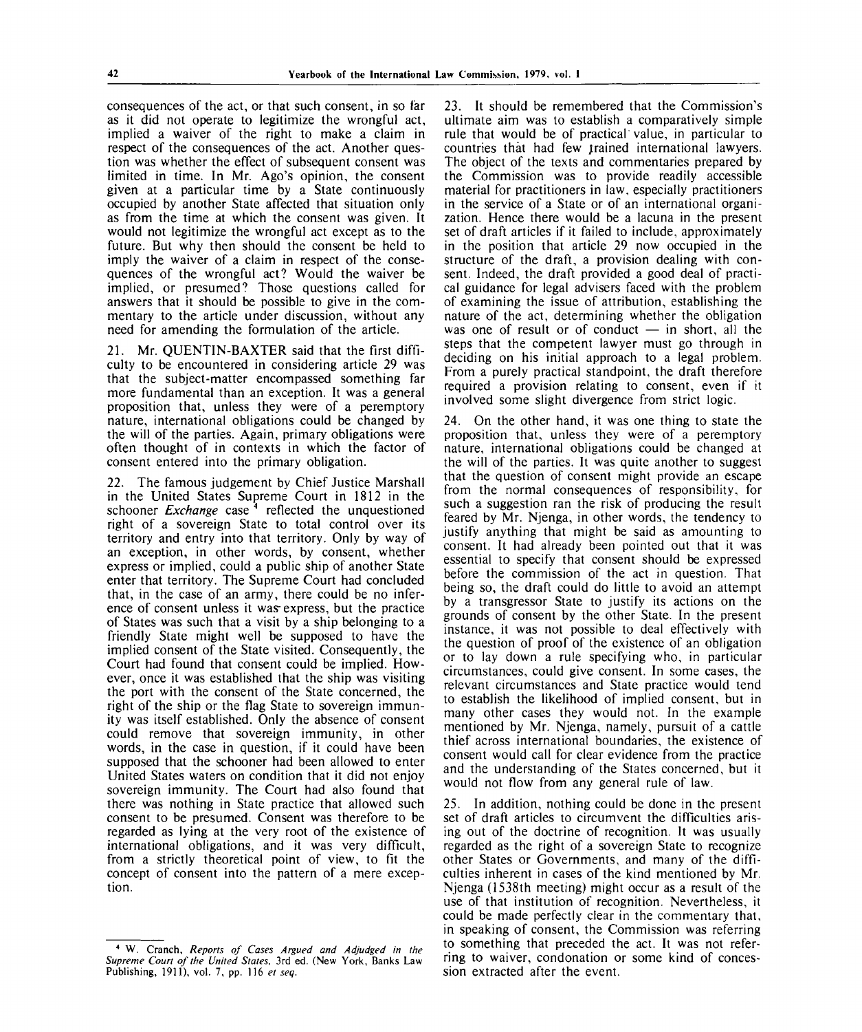consequences of the act, or that such consent, in so far as it did not operate to legitimize the wrongful act, implied a waiver of the right to make a claim in respect of the consequences of the act. Another question was whether the effect of subsequent consent was limited in time. In Mr. Ago's opinion, the consent given at a particular time by a State continuously occupied by another State affected that situation only as from the time at which the consent was given. It would not legitimize the wrongful act except as to the future. But why then should the consent be held to imply the waiver of a claim in respect of the consequences of the wrongful act? Would the waiver be implied, or presumed? Those questions called for answers that it should be possible to give in the commentary to the article under discussion, without any need for amending the formulation of the article.

21. Mr. QUENTIN-BAXTER said that the first difficulty to be encountered in considering article 29 was that the subject-matter encompassed something far more fundamental than an exception. It was a general proposition that, unless they were of a peremptory nature, international obligations could be changed by the will of the parties. Again, primary obligations were often thought of in contexts in which the factor of consent entered into the primary obligation.

22. The famous judgement by Chief Justice Marshall in the United States Supreme Court in 1812 in the schooner *Exchange* case <sup>4</sup> reflected the unquestioned right of a sovereign State to total control over its territory and entry into that territory. Only by way of an exception, in other words, by consent, whether express or implied, could a public ship of another State enter that territory. The Supreme Court had concluded that, in the case of an army, there could be no inference of consent unless it was express, but the practice of States was such that a visit by a ship belonging to a friendly State might well be supposed to have the implied consent of the State visited. Consequently, the Court had found that consent could be implied. However, once it was established that the ship was visiting the port with the consent of the State concerned, the right of the ship or the flag State to sovereign immunity was itself established. Only the absence of consent could remove that sovereign immunity, in other words, in the case in question, if it could have been supposed that the schooner had been allowed to enter United States waters on condition that it did not enjoy sovereign immunity. The Court had also found that there was nothing in State practice that allowed such consent to be presumed. Consent was therefore to be regarded as lying at the very root of the existence of international obligations, and it was very difficult, from a strictly theoretical point of view, to fit the concept of consent into the pattern of a mere exception.

23. It should be remembered that the Commission's ultimate aim was to establish a comparatively simple rule that would be of practical value, in particular to countries that had few trained international lawyers. The object of the texts and commentaries prepared by the Commission was to provide readily accessible material for practitioners in law, especially practitioners in the service of a State or of an international organization. Hence there would be a lacuna in the present set of draft articles if it failed to include, approximately in the position that article 29 now occupied in the structure of the draft, a provision dealing with consent. Indeed, the draft provided a good deal of practical guidance for legal advisers faced with the problem of examining the issue of attribution, establishing the nature of the act, determining whether the obligation was one of result or of conduct  $-$  in short, all the steps that the competent lawyer must go through in deciding on his initial approach to a legal problem. From a purely practical standpoint, the draft therefore required a provision relating to consent, even if it involved some slight divergence from strict logic.

24. On the other hand, it was one thing to state the proposition that, unless they were of a peremptory nature, international obligations could be changed at the will of the parties. It was quite another to suggest that the question of consent might provide an escape from the normal consequences of responsibility, for such a suggestion ran the risk of producing the result feared by Mr. Njenga, in other words, the tendency to justify anything that might be said as amounting to consent. It had already been pointed out that it was essential to specify that consent should be expressed before the commission of the act in question. That being so, the draft could do little to avoid an attempt by a transgressor State to justify its actions on the grounds of consent by the other State. In the present instance, it was not possible to deal effectively with the question of proof of the existence of an obligation or to lay down a rule specifying who, in particular circumstances, could give consent. In some cases, the relevant circumstances and State practice would tend to establish the likelihood of implied consent, but in many other cases they would not. In the example mentioned by Mr. Njenga, namely, pursuit of a cattle thief across international boundaries, the existence of consent would call for clear evidence from the practice and the understanding of the States concerned, but it would not flow from any general rule of law.

25. In addition, nothing could be done in the present set of draft articles to circumvent the difficulties arising out of the doctrine of recognition. It was usually regarded as the right of a sovereign State to recognize other States or Governments, and many of the difficulties inherent in cases of the kind mentioned by Mr. Njenga (1538th meeting) might occur as a result of the use of that institution of recognition. Nevertheless, it could be made perfectly clear in the commentary that, in speaking of consent, the Commission was referring to something that preceded the act. It was not referring to waiver, condonation or some kind of concession extracted after the event.

<sup>4</sup> W. Cranch, *Reports of Cases Argued and Adjudged in the Supreme Court of the United States,* 3rd ed. (New York, Banks Law Publishing, 1911), vol. 7, pp. 116 *et seq.*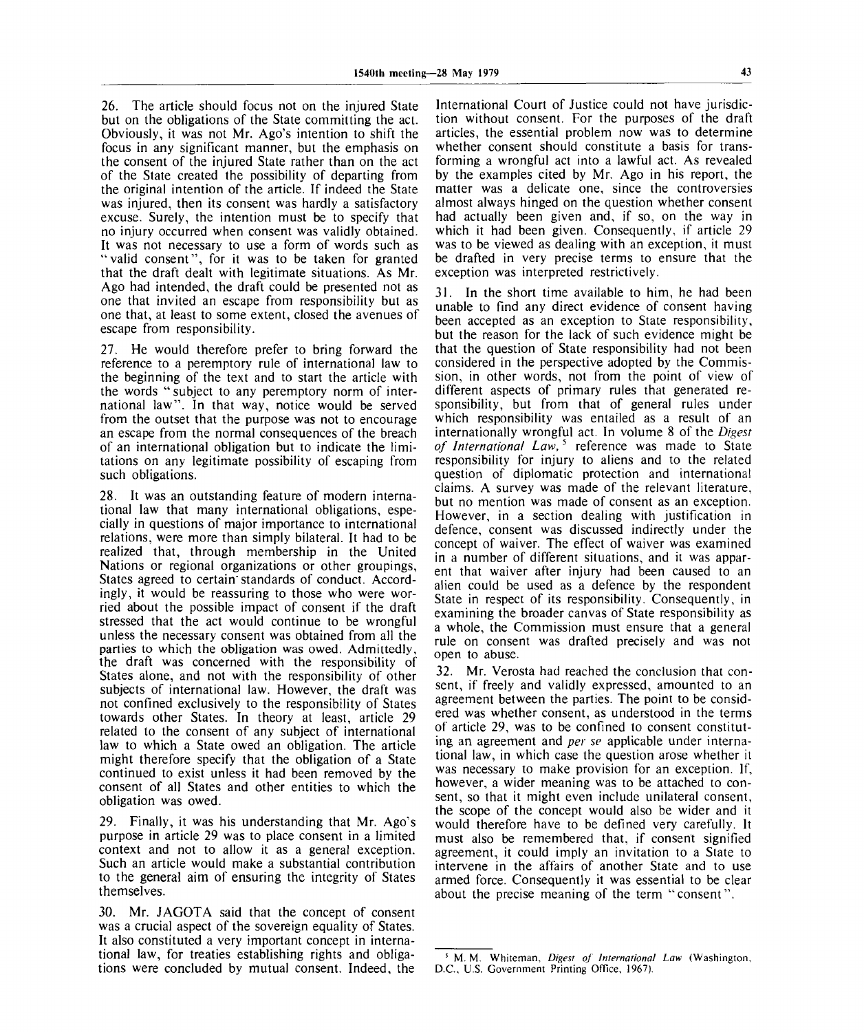26. The article should focus not on the injured State but on the obligations of the State committing the act. Obviously, it was not Mr. Ago's intention to shift the focus in any significant manner, but the emphasis on the consent of the injured State rather than on the act of the State created the possibility of departing from the original intention of the article. If indeed the State was injured, then its consent was hardly a satisfactory excuse. Surely, the intention must be to specify that no injury occurred when consent was validly obtained. It was not necessary to use a form of words such as "valid consent", for it was to be taken for granted that the draft dealt with legitimate situations. As Mr. Ago had intended, the draft could be presented not as one that invited an escape from responsibility but as one that, at least to some extent, closed the avenues of escape from responsibility.

27. He would therefore prefer to bring forward the reference to a peremptory rule of international law to the beginning of the text and to start the article with the words " subject to any peremptory norm of international law". In that way, notice would be served from the outset that the purpose was not to encourage an escape from the normal consequences of the breach of an international obligation but to indicate the limitations on any legitimate possibility of escaping from such obligations.

28. It was an outstanding feature of modern international law that many international obligations, especially in questions of major importance to international relations, were more than simply bilateral. It had to be realized that, through membership in the United Nations or regional organizations or other groupings, States agreed to certain'standards of conduct. Accordingly, it would be reassuring to those who were worried about the possible impact of consent if the draft stressed that the act would continue to be wrongful unless the necessary consent was obtained from all the parties to which the obligation was owed. Admittedly, the draft was concerned with the responsibility of States alone, and not with the responsibility of other subjects of international law. However, the draft was not confined exclusively to the responsibility of States towards other States. In theory at least, article 29 related to the consent of any subject of international law to which a State owed an obligation. The article might therefore specify that the obligation of a State continued to exist unless it had been removed by the consent of all States and other entities to which the obligation was owed.

29. Finally, it was his understanding that Mr. Ago's purpose in article 29 was to place consent in a limited context and not to allow it as a general exception. Such an article would make a substantial contribution to the general aim of ensuring the integrity of States themselves.

30. Mr. JAGOTA said that the concept of consent was a crucial aspect of the sovereign equality of States. It also constituted a very important concept in international law, for treaties establishing rights and obligations were concluded by mutual consent. Indeed, the International Court of Justice could not have jurisdiction without consent. For the purposes of the draft articles, the essential problem now was to determine whether consent should constitute a basis for transforming a wrongful act into a lawful act. As revealed by the examples cited by Mr. Ago in his report, the matter was a delicate one, since the controversies almost always hinged on the question whether consent had actually been given and, if so, on the way in which it had been given. Consequently, if article 29 was to be viewed as dealing with an exception, it must be drafted in very precise terms to ensure that the exception was interpreted restrictively.

31. In the short time available to him, he had been unable to find any direct evidence of consent having been accepted as an exception to State responsibility, but the reason for the lack of such evidence might be that the question of State responsibility had not been considered in the perspective adopted by the Commission, in other words, not from the point of view of different aspects of primary rules that generated responsibility, but from that of general rules under which responsibility was entailed as a result of an internationally wrongful act. In volume 8 of the *Digest of International Law*,<sup>5</sup> reference was made to State responsibility for injury to aliens and to the related question of diplomatic protection and international claims. A survey was made of the relevant literature, but no mention was made of consent as an exception. However, in a section dealing with justification in defence, consent was discussed indirectly under the concept of waiver. The effect of waiver was examined in a number of different situations, and it was apparent that waiver after injury had been caused to an alien could be used as a defence by the respondent State in respect of its responsibility. Consequently, in examining the broader canvas of State responsibility as a whole, the Commission must ensure that a general rule on consent was drafted precisely and was not open to abuse.

32. Mr. Verosta had reached the conclusion that consent, if freely and validly expressed, amounted to an agreement between the parties. The point to be considered was whether consent, as understood in the terms of article 29, was to be confined to consent constituting an agreement and *per se* applicable under international law, in which case the question arose whether it was necessary to make provision for an exception. If, however, a wider meaning was to be attached to consent, so that it might even include unilateral consent, the scope of the concept would also be wider and it would therefore have to be defined very carefully. It must also be remembered that, if consent signified agreement, it could imply an invitation to a State to intervene in the affairs of another State and to use armed force. Consequently it was essential to be clear about the precise meaning of the term "consent".

<sup>5</sup> M. M. Whiteman, *Digest of International Law* (Washington, D.C., U.S. Government Printing Office, 1967).